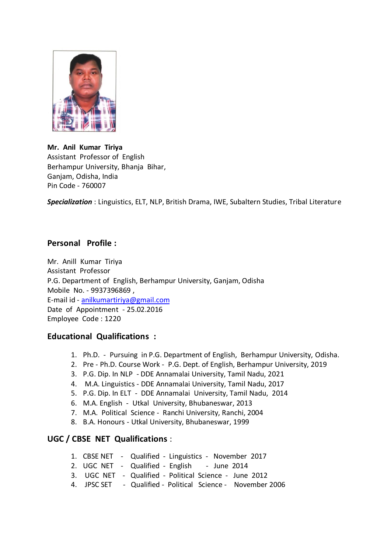

#### **Mr. Anil Kumar Tiriya**

Assistant Professor of English Berhampur University, Bhanja Bihar, Ganjam, Odisha, India Pin Code - 760007

*Specialization* : Linguistics, ELT, NLP, British Drama, IWE, Subaltern Studies, Tribal Literature

# **Personal Profile :**

Mr. Anill Kumar Tiriya Assistant Professor P.G. Department of English, Berhampur University, Ganjam, Odisha Mobile No. - 9937396869 , E-mail id - [anilkumartiriya@gmail.com](mailto:anilkumartiriya@gmail.com) Date of Appointment - 25.02.2016 Employee Code : 1220

## **Educational Qualifications :**

- 1. Ph.D. Pursuing in P.G. Department of English, Berhampur University, Odisha.
- 2. Pre Ph.D. Course Work P.G. Dept. of English, Berhampur University, 2019
- 3. P.G. Dip. In NLP DDE Annamalai University, Tamil Nadu, 2021
- 4. M.A. Linguistics DDE Annamalai University, Tamil Nadu, 2017
- 5. P.G. Dip. In ELT DDE Annamalai University, Tamil Nadu, 2014
- 6. M.A. English Utkal University, Bhubaneswar, 2013
- 7. M.A. Political Science Ranchi University, Ranchi, 2004
- 8. B.A. Honours Utkal University, Bhubaneswar, 1999

## **UGC / CBSE NET Qualifications** :

- 1. CBSE NET Qualified Linguistics November 2017
- 2. UGC NET Qualified English June 2014
- 3. UGC NET Qualified Political Science June 2012
- 4. JPSC SET Qualified Political Science November 2006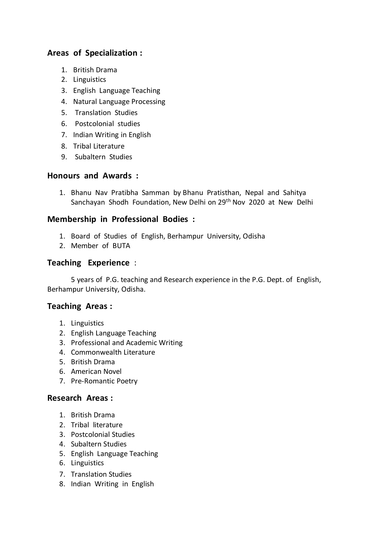# **Areas of Specialization :**

- 1. British Drama
- 2. Linguistics
- 3. English Language Teaching
- 4. Natural Language Processing
- 5. Translation Studies
- 6. Postcolonial studies
- 7. Indian Writing in English
- 8. Tribal Literature
- 9. Subaltern Studies

#### **Honours and Awards :**

1. Bhanu Nav Pratibha Samman by Bhanu Pratisthan, Nepal and Sahitya Sanchayan Shodh Foundation, New Delhi on 29th Nov 2020 at New Delhi

#### **Membership in Professional Bodies :**

- 1. Board of Studies of English, Berhampur University, Odisha
- 2. Member of BUTA

#### **Teaching Experience** :

 5 years of P.G. teaching and Research experience in the P.G. Dept. of English, Berhampur University, Odisha.

#### **Teaching Areas :**

- 1. Linguistics
- 2. English Language Teaching
- 3. Professional and Academic Writing
- 4. Commonwealth Literature
- 5. British Drama
- 6. American Novel
- 7. Pre-Romantic Poetry

#### **Research Areas :**

- 1. British Drama
- 2. Tribal literature
- 3. Postcolonial Studies
- 4. Subaltern Studies
- 5. English Language Teaching
- 6. Linguistics
- 7. Translation Studies
- 8. Indian Writing in English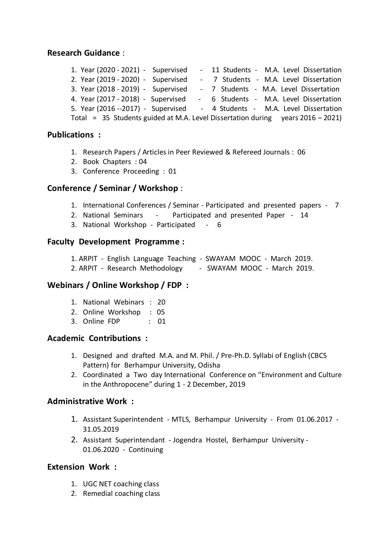#### **Research Guidance** :

|  |  | 1. Year (2020 - 2021) - Supervised                                                 |  |  |  | - 11 Students - M.A. Level Dissertation |  |
|--|--|------------------------------------------------------------------------------------|--|--|--|-----------------------------------------|--|
|  |  | 2. Year (2019 - 2020) - Supervised                                                 |  |  |  | - 7 Students - M.A. Level Dissertation  |  |
|  |  | 3. Year (2018 - 2019) - Supervised                                                 |  |  |  | - 7 Students - M.A. Level Dissertation  |  |
|  |  | 4. Year (2017 - 2018) - Supervised                                                 |  |  |  | - 6 Students - M.A. Level Dissertation  |  |
|  |  | 5. Year (2016 -- 2017) - Supervised                                                |  |  |  | - 4 Students - M.A. Level Dissertation  |  |
|  |  | Total = $35$ Students guided at M.A. Level Dissertation during years $2016 - 2021$ |  |  |  |                                         |  |

#### **Publications :**

- 1. Research Papers / Articles in Peer Reviewed & Refereed Journals : 06
- 2. Book Chapters : 04
- 3. Conference Proceeding : 01

#### **Conference / Seminar / Workshop** :

- 1. International Conferences / Seminar Participated and presented papers 7
- 2. National Seminars Participated and presented Paper 14
- 3. National Workshop Participated 6

#### **Faculty Development Programme :**

- 1. ARPIT English Language Teaching SWAYAM MOOC March 2019.
- 2. ARPIT Research Methodology SWAYAM MOOC March 2019.

#### **Webinars / Online Workshop / FDP :**

- 1. National Webinars : 20
- 2. Online Workshop : 05
- 3. Online FDP : 01

#### **Academic Contributions :**

- 1. Designed and drafted M.A. and M. Phil. / Pre-Ph.D. Syllabi of English (CBCS Pattern) for Berhampur University, Odisha
- 2. Coordinated a Two day International Conference on "Environment and Culture in the Anthropocene" during 1 - 2 December, 2019

#### **Administrative Work :**

- 1. Assistant Superintendent MTLS, Berhampur University From 01.06.2017 31.05.2019
- 2. Assistant Superintendant Jogendra Hostel, Berhampur University 01.06.2020 - Continuing

#### **Extension Work :**

- 1. UGC NET coaching class
- 2. Remedial coaching class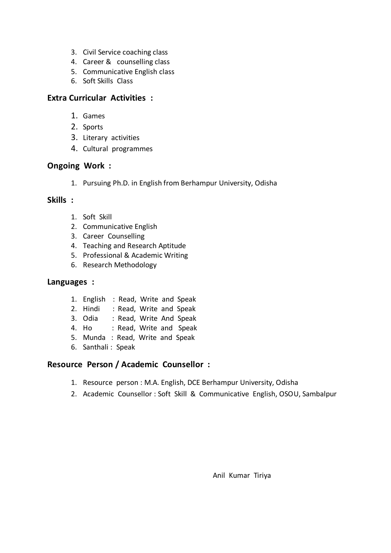- 3. Civil Service coaching class
- 4. Career & counselling class
- 5. Communicative English class
- 6. Soft Skills Class

#### **Extra Curricular Activities :**

- 1. Games
- 2. Sports
- 3. Literary activities
- 4. Cultural programmes

## **Ongoing Work :**

1. Pursuing Ph.D. in English from Berhampur University, Odisha

# **Skills :**

- 1. Soft Skill
- 2. Communicative English
- 3. Career Counselling
- 4. Teaching and Research Aptitude
- 5. Professional & Academic Writing
- 6. Research Methodology

## **Languages :**

- 1. English : Read, Write and Speak
- 2. Hindi : Read, Write and Speak
- 3. Odia : Read, Write And Speak
- 4. Ho : Read, Write and Speak
- 5. Munda : Read, Write and Speak
- 6. Santhali : Speak

## **Resource Person / Academic Counsellor :**

- 1. Resource person : M.A. English, DCE Berhampur University, Odisha
- 2. Academic Counsellor : Soft Skill & Communicative English, OSOU, Sambalpur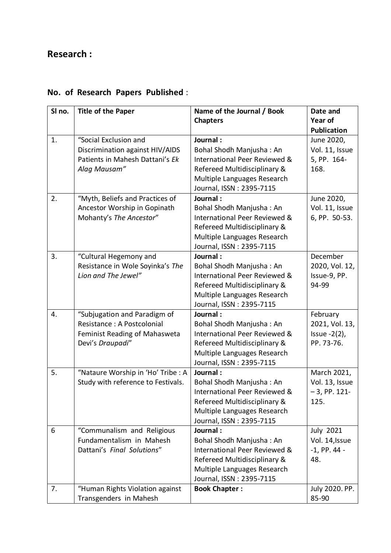# **Research :**

| SI no. | <b>Title of the Paper</b>                                                                                       | Name of the Journal / Book                                                                                                                                       | Date and                                                       |
|--------|-----------------------------------------------------------------------------------------------------------------|------------------------------------------------------------------------------------------------------------------------------------------------------------------|----------------------------------------------------------------|
|        |                                                                                                                 | <b>Chapters</b>                                                                                                                                                  | Year of                                                        |
|        |                                                                                                                 |                                                                                                                                                                  | <b>Publication</b>                                             |
| 1.     | "Social Exclusion and<br>Discrimination against HIV/AIDS<br>Patients in Mahesh Dattani's Ek                     | Journal:<br>Bohal Shodh Manjusha: An<br>International Peer Reviewed &                                                                                            | June 2020,<br>Vol. 11, Issue<br>5, PP. 164-                    |
|        | Alag Mausam"                                                                                                    | Refereed Multidisciplinary &<br>Multiple Languages Research<br>Journal, ISSN: 2395-7115                                                                          | 168.                                                           |
| 2.     | "Myth, Beliefs and Practices of<br>Ancestor Worship in Gopinath<br>Mohanty's The Ancestor"                      | Journal:<br>Bohal Shodh Manjusha: An<br>International Peer Reviewed &<br>Refereed Multidisciplinary &<br>Multiple Languages Research<br>Journal, ISSN: 2395-7115 | June 2020,<br>Vol. 11, Issue<br>6, PP. 50-53.                  |
| 3.     | "Cultural Hegemony and<br>Resistance in Wole Soyinka's The<br>Lion and The Jewel"                               | Journal:<br>Bohal Shodh Manjusha: An<br>International Peer Reviewed &<br>Refereed Multidisciplinary &<br>Multiple Languages Research<br>Journal, ISSN: 2395-7115 | December<br>2020, Vol. 12,<br>Issue-9, PP.<br>94-99            |
| 4.     | "Subjugation and Paradigm of<br>Resistance: A Postcolonial<br>Feminist Reading of Mahasweta<br>Devi's Draupadi" | Journal:<br>Bohal Shodh Manjusha: An<br>International Peer Reviewed &<br>Refereed Multidisciplinary &<br>Multiple Languages Research<br>Journal, ISSN: 2395-7115 | February<br>2021, Vol. 13,<br>Issue $-2(2)$ ,<br>PP. 73-76.    |
| 5.     | "Nataure Worship in 'Ho' Tribe : A<br>Study with reference to Festivals.                                        | Journal:<br>Bohal Shodh Manjusha: An<br>International Peer Reviewed &<br>Refereed Multidisciplinary &<br>Multiple Languages Research<br>Journal, ISSN: 2395-7115 | March 2021,<br>Vol. 13, Issue<br>$-3$ , PP. 121-<br>125.       |
| 6      | "Communalism and Religious<br>Fundamentalism in Mahesh<br>Dattani's Final Solutions"                            | Journal:<br>Bohal Shodh Manjusha: An<br>International Peer Reviewed &<br>Refereed Multidisciplinary &<br>Multiple Languages Research<br>Journal, ISSN: 2395-7115 | <b>July 2021</b><br>Vol. 14, Issue<br>$-1$ , PP. 44 $-$<br>48. |
| 7.     | "Human Rights Violation against<br>Transgenders in Mahesh                                                       | <b>Book Chapter:</b>                                                                                                                                             | July 2020. PP.<br>85-90                                        |

# **No. of Research Papers Published** :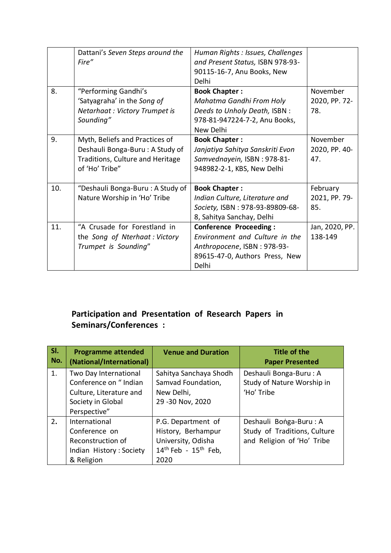|     | Dattani's Seven Steps around the<br>Fire"                                                                               | Human Rights : Issues, Challenges<br>and Present Status, ISBN 978-93-<br>90115-16-7, Anu Books, New<br>Delhi                              |                                  |
|-----|-------------------------------------------------------------------------------------------------------------------------|-------------------------------------------------------------------------------------------------------------------------------------------|----------------------------------|
| 8.  | "Performing Gandhi's<br>'Satyagraha' in the Song of<br>Netarhaat: Victory Trumpet is<br>Sounding"                       | <b>Book Chapter:</b><br>Mahatma Gandhi From Holy<br>Deeds to Unholy Death, ISBN :<br>978-81-947224-7-2, Anu Books,<br>New Delhi           | November<br>2020, PP. 72-<br>78. |
| 9.  | Myth, Beliefs and Practices of<br>Deshauli Bonga-Buru: A Study of<br>Traditions, Culture and Heritage<br>of 'Ho' Tribe" | <b>Book Chapter:</b><br>Janjatiya Sahitya Sanskriti Evon<br>Samvednayein, ISBN: 978-81-<br>948982-2-1, KBS, New Delhi                     | November<br>2020, PP. 40-<br>47. |
| 10. | "Deshauli Bonga-Buru: A Study of<br>Nature Worship in 'Ho' Tribe                                                        | <b>Book Chapter:</b><br>Indian Culture, Literature and<br>Society, ISBN: 978-93-89809-68-<br>8, Sahitya Sanchay, Delhi                    | February<br>2021, PP. 79-<br>85. |
| 11. | "A Crusade for Forestland in<br>the Song of Nterhaat: Victory<br>Trumpet is Sounding"                                   | <b>Conference Proceeding:</b><br>Environment and Culture in the<br>Anthropocene, ISBN: 978-93-<br>89615-47-0, Authors Press, New<br>Delhi | Jan, 2020, PP.<br>138-149        |

# **Participation and Presentation of Research Papers in Seminars/Conferences :**

| SI.<br>No. | <b>Programme attended</b><br>(National/International)                                                          | <b>Venue and Duration</b>                                                                          | <b>Title of the</b><br><b>Paper Presented</b>                                        |
|------------|----------------------------------------------------------------------------------------------------------------|----------------------------------------------------------------------------------------------------|--------------------------------------------------------------------------------------|
| 1.         | Two Day International<br>Conference on "Indian<br>Culture, Literature and<br>Society in Global<br>Perspective" | Sahitya Sanchaya Shodh<br>Samvad Foundation,<br>New Delhi,<br>29 - 30 Nov, 2020                    | Deshauli Bonga-Buru: A<br>Study of Nature Worship in<br>'Ho' Tribe                   |
| 2.         | International<br>Conference on<br>Reconstruction of<br>Indian History: Society<br>& Religion                   | P.G. Department of<br>History, Berhampur<br>University, Odisha<br>$14th$ Feb - $15th$ Feb,<br>2020 | Deshauli Bonga-Buru: A<br>Study of Traditions, Culture<br>and Religion of 'Ho' Tribe |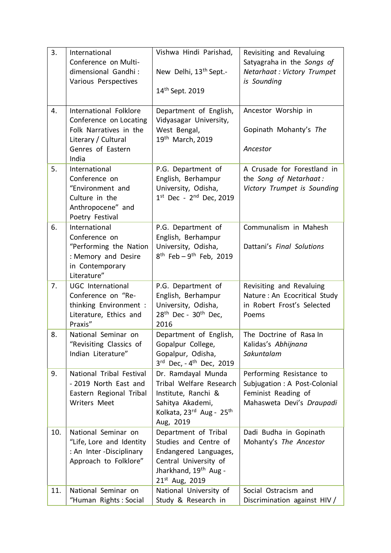| 3.  | International                                      | Vishwa Hindi Parishad,                         | Revisiting and Revaluing                                 |
|-----|----------------------------------------------------|------------------------------------------------|----------------------------------------------------------|
|     | Conference on Multi-                               |                                                | Satyagraha in the Songs of                               |
|     | dimensional Gandhi:                                | New Delhi, 13 <sup>th</sup> Sept.-             | Netarhaat : Victory Trumpet                              |
|     | Various Perspectives                               |                                                | is Sounding                                              |
|     |                                                    | 14 <sup>th</sup> Sept. 2019                    |                                                          |
| 4.  | International Folklore                             | Department of English,                         | Ancestor Worship in                                      |
|     | Conference on Locating                             | Vidyasagar University,                         |                                                          |
|     | Folk Narratives in the                             | West Bengal,                                   | Gopinath Mohanty's The                                   |
|     | Literary / Cultural<br>Genres of Eastern           | 19th March, 2019                               | Ancestor                                                 |
|     | India                                              |                                                |                                                          |
| 5.  | International                                      | P.G. Department of                             | A Crusade for Forestland in                              |
|     | Conference on                                      | English, Berhampur                             | the Song of Netarhaat:                                   |
|     | "Environment and                                   | University, Odisha,                            | Victory Trumpet is Sounding                              |
|     | Culture in the<br>Anthropocene" and                | $1^{st}$ Dec - $2^{nd}$ Dec, 2019              |                                                          |
|     | Poetry Festival                                    |                                                |                                                          |
| 6.  | International                                      | P.G. Department of                             | Communalism in Mahesh                                    |
|     | Conference on                                      | English, Berhampur                             |                                                          |
|     | "Performing the Nation                             | University, Odisha,                            | Dattani's Final Solutions                                |
|     | : Memory and Desire<br>in Contemporary             | $8^{th}$ Feb - 9 <sup>th</sup> Feb, 2019       |                                                          |
|     | Literature"                                        |                                                |                                                          |
| 7.  | <b>UGC</b> International                           | P.G. Department of                             | Revisiting and Revaluing                                 |
|     | Conference on "Re-                                 | English, Berhampur                             | Nature: An Ecocritical Study                             |
|     | thinking Environment :                             | University, Odisha,                            | in Robert Frost's Selected                               |
|     | Literature, Ethics and<br>Praxis"                  | $28th$ Dec - $30th$ Dec,<br>2016               | Poems                                                    |
| 8.  | National Seminar on                                | Department of English,                         | The Doctrine of Rasa In                                  |
|     | "Revisiting Classics of                            | Gopalpur College,                              | Kalidas's Abhijnana                                      |
|     | Indian Literature"                                 | Gopalpur, Odisha,                              | Sakuntalam                                               |
|     |                                                    | 3rd Dec, - 4 <sup>th</sup> Dec, 2019           |                                                          |
| 9.  | National Tribal Festival<br>- 2019 North East and  | Dr. Ramdayal Munda<br>Tribal Welfare Research  | Performing Resistance to<br>Subjugation: A Post-Colonial |
|     | Eastern Regional Tribal                            | Institute, Ranchi &                            | Feminist Reading of                                      |
|     | <b>Writers Meet</b>                                | Sahitya Akademi,                               | Mahasweta Devi's Draupadi                                |
|     |                                                    | Kolkata, 23rd Aug - 25th                       |                                                          |
|     |                                                    | Aug, 2019                                      |                                                          |
| 10. | National Seminar on                                | Department of Tribal                           | Dadi Budha in Gopinath                                   |
|     | "Life, Lore and Identity                           | Studies and Centre of                          | Mohanty's The Ancestor                                   |
|     | : An Inter - Disciplinary<br>Approach to Folklore" | Endangered Languages,<br>Central University of |                                                          |
|     |                                                    | Jharkhand, 19 <sup>th</sup> Aug -              |                                                          |
|     |                                                    | 21st Aug, 2019                                 |                                                          |
| 11. | National Seminar on                                | National University of                         | Social Ostracism and                                     |
|     | "Human Rights: Social                              | Study & Research in                            | Discrimination against HIV /                             |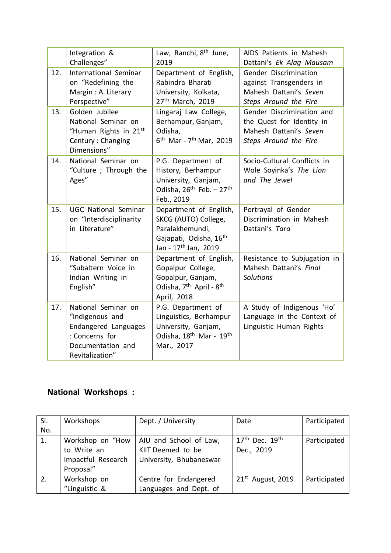|     | Integration &<br>Challenges"                                                                                             | Law, Ranchi, 8 <sup>th</sup> June,<br>2019                                                                                                  | AIDS Patients in Mahesh<br>Dattani's Ek Alag Mausam                                                       |
|-----|--------------------------------------------------------------------------------------------------------------------------|---------------------------------------------------------------------------------------------------------------------------------------------|-----------------------------------------------------------------------------------------------------------|
| 12. | International Seminar<br>on "Redefining the<br>Margin: A Literary<br>Perspective"                                        | Department of English,<br>Rabindra Bharati<br>University, Kolkata,<br>27 <sup>th</sup> March, 2019                                          | Gender Discrimination<br>against Transgenders in<br>Mahesh Dattani's Seven<br>Steps Around the Fire       |
| 13. | Golden Jubilee<br>National Seminar on<br>"Human Rights in 21st<br>Century: Changing<br>Dimensions"                       | Lingaraj Law College,<br>Berhampur, Ganjam,<br>Odisha,<br>$6^{th}$ Mar - $7^{th}$ Mar, 2019                                                 | Gender Discrimination and<br>the Quest for Identity in<br>Mahesh Dattani's Seven<br>Steps Around the Fire |
| 14. | National Seminar on<br>"Culture ; Through the<br>Ages"                                                                   | P.G. Department of<br>History, Berhampur<br>University, Ganjam,<br>Odisha, 26 <sup>th</sup> Feb. - 27 <sup>th</sup><br>Feb., 2019           | Socio-Cultural Conflicts in<br>Wole Soyinka's The Lion<br>and The Jewel                                   |
| 15. | <b>UGC National Seminar</b><br>on "Interdisciplinarity<br>in Literature"                                                 | Department of English,<br>SKCG (AUTO) College,<br>Paralakhemundi,<br>Gajapati, Odisha, 16 <sup>th</sup><br>Jan - 17 <sup>th</sup> Jan, 2019 | Portrayal of Gender<br>Discrimination in Mahesh<br>Dattani's Tara                                         |
| 16. | National Seminar on<br>"Subaltern Voice in<br>Indian Writing in<br>English"                                              | Department of English,<br>Gopalpur College,<br>Gopalpur, Ganjam,<br>Odisha, 7 <sup>th</sup> April - 8 <sup>th</sup><br>April, 2018          | Resistance to Subjugation in<br>Mahesh Dattani's Final<br><b>Solutions</b>                                |
| 17. | National Seminar on<br>"Indigenous and<br>Endangered Languages<br>: Concerns for<br>Documentation and<br>Revitalization" | P.G. Department of<br>Linguistics, Berhampur<br>University, Ganjam,<br>Odisha, 18 <sup>th</sup> Mar - 19 <sup>th</sup><br>Mar., 2017        | A Study of Indigenous 'Ho'<br>Language in the Context of<br>Linguistic Human Rights                       |

# **National Workshops :**

| SI. | Workshops          | Dept. / University      | Date                | Participated |
|-----|--------------------|-------------------------|---------------------|--------------|
| No. |                    |                         |                     |              |
| 1.  | Workshop on "How   | AIU and School of Law,  | $17th$ Dec. $19th$  | Participated |
|     | to Write an        | KIIT Deemed to be       | Dec., 2019          |              |
|     | Impactful Research | University, Bhubaneswar |                     |              |
|     | Proposal"          |                         |                     |              |
| 2.  | Workshop on        | Centre for Endangered   | $21st$ August, 2019 | Participated |
|     | "Linguistic &      | Languages and Dept. of  |                     |              |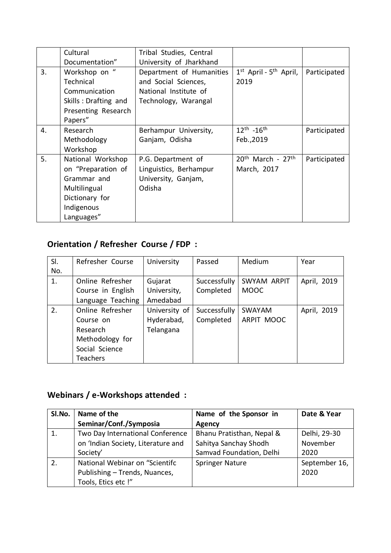|    | Cultural             | Tribal Studies, Central  |                             |              |
|----|----------------------|--------------------------|-----------------------------|--------------|
|    | Documentation"       | University of Jharkhand  |                             |              |
| 3. | Workshop on "        | Department of Humanities | $1st$ April - $5th$ April,  | Participated |
|    | Technical            | and Social Sciences,     | 2019                        |              |
|    | Communication        | National Institute of    |                             |              |
|    | Skills: Drafting and | Technology, Warangal     |                             |              |
|    | Presenting Research  |                          |                             |              |
|    | Papers"              |                          |                             |              |
| 4. | Research             | Berhampur University,    | $12^{th}$ -16 <sup>th</sup> | Participated |
|    | Methodology          | Ganjam, Odisha           | Feb., 2019                  |              |
|    | Workshop             |                          |                             |              |
| 5. | National Workshop    | P.G. Department of       | $20th$ March - $27th$       | Participated |
|    | on "Preparation of   | Linguistics, Berhampur   | March, 2017                 |              |
|    | Grammar and          | University, Ganjam,      |                             |              |
|    | Multilingual         | Odisha                   |                             |              |
|    | Dictionary for       |                          |                             |              |
|    | Indigenous           |                          |                             |              |
|    | Languages"           |                          |                             |              |

# **Orientation / Refresher Course / FDP :**

| SI. | Refresher Course  | University    | Passed       | Medium      | Year        |
|-----|-------------------|---------------|--------------|-------------|-------------|
| No. |                   |               |              |             |             |
| 1.  | Online Refresher  | Gujarat       | Successfully | SWYAM ARPIT | April, 2019 |
|     | Course in English | University,   | Completed    | <b>MOOC</b> |             |
|     | Language Teaching | Amedabad      |              |             |             |
| 2.  | Online Refresher  | University of | Successfully | SWAYAM      | April, 2019 |
|     | Course on         | Hyderabad,    | Completed    | ARPIT MOOC  |             |
|     | Research          | Telangana     |              |             |             |
|     | Methodology for   |               |              |             |             |
|     | Social Science    |               |              |             |             |
|     | <b>Teachers</b>   |               |              |             |             |

# **Webinars / e-Workshops attended :**

| SI.No. | Name of the                        | Name of the Sponsor in    | Date & Year   |
|--------|------------------------------------|---------------------------|---------------|
|        | Seminar/Conf./Symposia             | Agency                    |               |
|        | Two Day International Conference   | Bhanu Pratisthan, Nepal & | Delhi, 29-30  |
|        | on 'Indian Society, Literature and | Sahitya Sanchay Shodh     | November      |
|        | Society'                           | Samvad Foundation, Delhi  | 2020          |
|        | National Webinar on "Scientifc     | <b>Springer Nature</b>    | September 16, |
|        | Publishing - Trends, Nuances,      |                           | 2020          |
|        | Tools, Etics etc !"                |                           |               |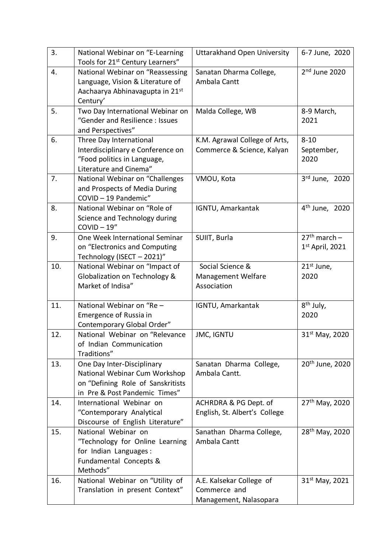| 3.  | National Webinar on "E-Learning<br>Tools for 21 <sup>st</sup> Century Learners"                                                   | Uttarakhand Open University                                        | 6-7 June, 2020                      |
|-----|-----------------------------------------------------------------------------------------------------------------------------------|--------------------------------------------------------------------|-------------------------------------|
| 4.  | National Webinar on "Reassessing<br>Language, Vision & Literature of<br>Aachaarya Abhinavagupta in 21st<br>Century'               | Sanatan Dharma College,<br>Ambala Cantt                            | $2nd$ June 2020                     |
| 5.  | Two Day International Webinar on<br>"Gender and Resilience: Issues<br>and Perspectives"                                           | Malda College, WB                                                  | 8-9 March,<br>2021                  |
| 6.  | Three Day International<br>Interdisciplinary e Conference on<br>"Food politics in Language,<br>Literature and Cinema"             | K.M. Agrawal College of Arts,<br>Commerce & Science, Kalyan        | $8 - 10$<br>September,<br>2020      |
| 7.  | National Webinar on "Challenges<br>and Prospects of Media During<br>COVID-19 Pandemic"                                            | VMOU, Kota                                                         | 3rd June, 2020                      |
| 8.  | National Webinar on "Role of<br>Science and Technology during<br>$COVID-19"$                                                      | IGNTU, Amarkantak                                                  | 4 <sup>th</sup> June, 2020          |
| 9.  | One Week International Seminar<br>on "Electronics and Computing<br>Technology (ISECT - 2021)"                                     | SUIIT, Burla                                                       | $27th$ march –<br>$1st$ April, 2021 |
| 10. | National Webinar on "Impact of<br>Globalization on Technology &<br>Market of Indisa"                                              | Social Science &<br>Management Welfare<br>Association              | $21st$ June,<br>2020                |
| 11. | National Webinar on "Re -<br>Emergence of Russia in<br>Contemporary Global Order"                                                 | IGNTU, Amarkantak                                                  | 8 <sup>th</sup> July,<br>2020       |
| 12. | National Webinar on "Relevance<br>of Indian Communication<br>Traditions"                                                          | <b>JMC, IGNTU</b>                                                  | 31 <sup>st</sup> May, 2020          |
| 13. | One Day Inter-Disciplinary<br>National Webinar Cum Workshop<br>on "Defining Role of Sanskritists<br>in Pre & Post Pandemic Times" | Sanatan Dharma College,<br>Ambala Cantt.                           | 20 <sup>th</sup> June, 2020         |
| 14. | International Webinar on<br>"Contemporary Analytical<br>Discourse of English Literature"                                          | ACHRDRA & PG Dept. of<br>English, St. Albert's College             | 27 <sup>th</sup> May, 2020          |
| 15. | National Webinar on<br>"Technology for Online Learning<br>for Indian Languages:<br>Fundamental Concepts &<br>Methods"             | Sanathan Dharma College,<br>Ambala Cantt                           | 28 <sup>th</sup> May, 2020          |
| 16. | National Webinar on "Utility of<br>Translation in present Context"                                                                | A.E. Kalsekar College of<br>Commerce and<br>Management, Nalasopara | $31^{st}$ May, 2021                 |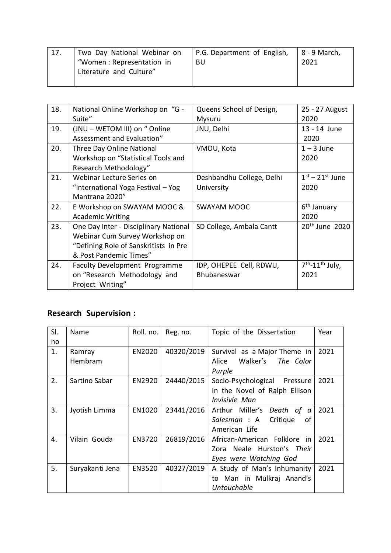| 17. | Two Day National Webinar on | P.G. Department of English, | 8 - 9 March, |
|-----|-----------------------------|-----------------------------|--------------|
|     | "Women: Representation in   | BU                          | 2021         |
|     | Literature and Culture"     |                             |              |
|     |                             |                             |              |

| 18. | National Online Workshop on "G -<br>Suite" | Queens School of Design,<br>Mysuru | 25 - 27 August<br>2020     |
|-----|--------------------------------------------|------------------------------------|----------------------------|
|     |                                            |                                    |                            |
| 19. | (JNU - WETOM III) on " Online              | JNU, Delhi                         | 13 - 14 June               |
|     | Assessment and Evaluation"                 |                                    | 2020                       |
| 20. | Three Day Online National                  | VMOU, Kota                         | $1 - 3$ June               |
|     | Workshop on "Statistical Tools and         |                                    | 2020                       |
|     | Research Methodology"                      |                                    |                            |
| 21. | Webinar Lecture Series on                  | Deshbandhu College, Delhi          | $1st - 21st$ June          |
|     | "International Yoga Festival - Yog         | University                         | 2020                       |
|     | Mantrana 2020"                             |                                    |                            |
| 22. | E Workshop on SWAYAM MOOC &                | <b>SWAYAM MOOC</b>                 | 6 <sup>th</sup> January    |
|     | <b>Academic Writing</b>                    |                                    | 2020                       |
| 23. | One Day Inter - Disciplinary National      | SD College, Ambala Cantt           | 20 <sup>th</sup> June 2020 |
|     | Webinar Cum Survey Workshop on             |                                    |                            |
|     | "Defining Role of Sanskritists in Pre      |                                    |                            |
|     | & Post Pandemic Times"                     |                                    |                            |
| 24. | Faculty Development Programme              | IDP, OHEPEE Cell, RDWU,            | $7th - 11th$ July,         |
|     | on "Research Methodology and               | Bhubaneswar                        | 2021                       |
|     | Project Writing"                           |                                    |                            |
|     |                                            |                                    |                            |

# **Research Supervision :**

| SI. | Name            | Roll. no.     | Reg. no.   | Topic of the Dissertation       | Year |
|-----|-----------------|---------------|------------|---------------------------------|------|
| no  |                 |               |            |                                 |      |
| 1.  | Ramray          | EN2020        | 40320/2019 | Survival as a Major Theme in    | 2021 |
|     | Hembram         |               |            | Walker's The Color<br>Alice     |      |
|     |                 |               |            | Purple                          |      |
| 2.  | Sartino Sabar   | <b>EN2920</b> | 24440/2015 | Socio-Psychological<br>Pressure | 2021 |
|     |                 |               |            | in the Novel of Ralph Ellison   |      |
|     |                 |               |            | Invisivle Man                   |      |
| 3.  | Jyotish Limma   | EN1020        | 23441/2016 | Arthur Miller's Death of a      | 2021 |
|     |                 |               |            | Salesman: A<br>Critique<br>0f   |      |
|     |                 |               |            | American Life                   |      |
| 4.  | Vilain Gouda    | EN3720        | 26819/2016 | African-American Folklore in    | 2021 |
|     |                 |               |            | Zora Neale Hurston's Their      |      |
|     |                 |               |            | Eyes were Watching God          |      |
| 5.  | Suryakanti Jena | <b>EN3520</b> | 40327/2019 | A Study of Man's Inhumanity     | 2021 |
|     |                 |               |            | Man in Mulkraj Anand's<br>to    |      |
|     |                 |               |            | <b>Untouchable</b>              |      |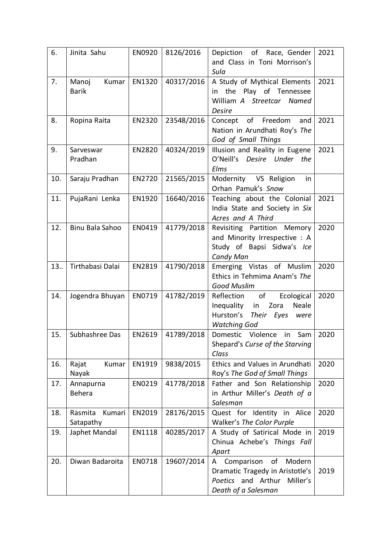| 6.  | Jinita Sahu                    | <b>EN0920</b> | 8126/2016  | Depiction of Race, Gender<br>and Class in Toni Morrison's<br>Sula                                                             | 2021 |
|-----|--------------------------------|---------------|------------|-------------------------------------------------------------------------------------------------------------------------------|------|
| 7.  | Manoj<br>Kumar<br><b>Barik</b> | EN1320        | 40317/2016 | A Study of Mythical Elements<br>the Play of Tennessee<br>in<br>William A Streetcar Named<br><b>Desire</b>                     | 2021 |
| 8.  | Ropina Raita                   | EN2320        | 23548/2016 | of Freedom<br>and<br>Concept<br>Nation in Arundhati Roy's The<br>God of Small Things                                          | 2021 |
| 9.  | Sarveswar<br>Pradhan           | EN2820        | 40324/2019 | Illusion and Reality in Eugene<br>O'Neill's<br>Desire Under the<br>Elms                                                       | 2021 |
| 10. | Saraju Pradhan                 | EN2720        | 21565/2015 | Modernity VS Religion<br>in<br>Orhan Pamuk's Snow                                                                             |      |
| 11. | PujaRani Lenka                 | EN1920        | 16640/2016 | Teaching about the Colonial<br>India State and Society in Six<br>Acres and A Third                                            | 2021 |
| 12. | Binu Bala Sahoo                | EN0419        | 41779/2018 | Revisiting Partition Memory<br>and Minority Irrespective : A<br>Study of Bapsi Sidwa's Ice<br>Candy Man                       | 2020 |
| 13. | Tirthabasi Dalai               | EN2819        | 41790/2018 | Emerging Vistas of Muslim<br>Ethics in Tehmima Anam's The<br>Good Muslim                                                      | 2020 |
| 14. | Jogendra Bhuyan                | EN0719        | 41782/2019 | of<br>Reflection<br>Ecological<br>Inequality<br>Zora<br>in<br>Neale<br>Hurston's<br>Their Eyes<br>were<br><b>Watching God</b> | 2020 |
| 15. | Subhashree Das                 | EN2619        | 41789/2018 | Domestic Violence in<br>Sam<br>Shepard's Curse of the Starving<br>Class                                                       | 2020 |
| 16. | Kumar<br>Rajat<br>Nayak        | EN1919        | 9838/2015  | Ethics and Values in Arundhati<br>Roy's The God of Small Things                                                               | 2020 |
| 17. | Annapurna<br><b>Behera</b>     | EN0219        | 41778/2018 | Father and Son Relationship<br>in Arthur Miller's Death of a<br>Salesman                                                      | 2020 |
| 18. | Rasmita<br>Kumari<br>Satapathy | EN2019        | 28176/2015 | Quest for Identity in Alice<br>Walker's The Color Purple                                                                      | 2020 |
| 19. | Japhet Mandal                  | EN1118        | 40285/2017 | A Study of Satirical Mode in<br>Chinua Achebe's Things Fall<br>Apart                                                          | 2019 |
| 20. | Diwan Badaroita                | EN0718        | 19607/2014 | Comparison<br>of<br>Modern<br>A<br>Dramatic Tragedy in Aristotle's<br>Poetics and Arthur<br>Miller's<br>Death of a Salesman   | 2019 |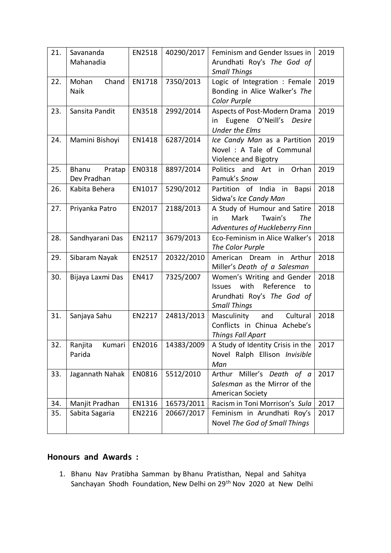| 21. | Savananda<br>Mahanadia         | EN2518 | 40290/2017 | Feminism and Gender Issues in<br>Arundhati Roy's The God of<br><b>Small Things</b>                                          | 2019 |
|-----|--------------------------------|--------|------------|-----------------------------------------------------------------------------------------------------------------------------|------|
| 22. | Mohan<br>Chand<br>Naik         | EN1718 | 7350/2013  | Logic of Integration : Female<br>Bonding in Alice Walker's The<br>Color Purple                                              | 2019 |
| 23. | Sansita Pandit                 | EN3518 | 2992/2014  | Aspects of Post-Modern Drama<br>Eugene O'Neill's<br>Desire<br>in<br><b>Under the Elms</b>                                   | 2019 |
| 24. | Mamini Bishoyi                 | EN1418 | 6287/2014  | Ice Candy Man as a Partition<br>Novel: A Tale of Communal<br>Violence and Bigotry                                           | 2019 |
| 25. | Bhanu<br>Pratap<br>Dev Pradhan | EN0318 | 8897/2014  | and Art in<br>Politics<br>Orhan<br>Pamuk's Snow                                                                             | 2019 |
| 26. | Kabita Behera                  | EN1017 | 5290/2012  | Partition of India in Bapsi<br>Sidwa's Ice Candy Man                                                                        | 2018 |
| 27. | Priyanka Patro                 | EN2017 | 2188/2013  | A Study of Humour and Satire<br>Mark<br>Twain's<br>The<br>in<br>Adventures of Huckleberry Finn                              | 2018 |
| 28. | Sandhyarani Das                | EN2117 | 3679/2013  | Eco-Feminism in Alice Walker's<br>The Color Purple                                                                          | 2018 |
| 29. | Sibaram Nayak                  | EN2517 | 20322/2010 | American Dream in Arthur<br>Miller's Death of a Salesman                                                                    | 2018 |
| 30. | Bijaya Laxmi Das               | EN417  | 7325/2007  | Women's Writing and Gender<br>with<br>Reference<br><b>Issues</b><br>to<br>Arundhati Roy's The God of<br><b>Small Things</b> | 2018 |
| 31. | Sanjaya Sahu                   | EN2217 | 24813/2013 | Masculinity<br>and<br>Cultural<br>Conflicts in Chinua Achebe's<br><b>Things Fall Apart</b>                                  | 2018 |
| 32. | Kumari<br>Ranjita<br>Parida    | EN2016 | 14383/2009 | A Study of Identity Crisis in the<br>Novel Ralph Ellison Invisible<br>Man                                                   | 2017 |
| 33. | Jagannath Nahak                | EN0816 | 5512/2010  | Miller's Death<br>of a<br>Arthur<br>Salesman as the Mirror of the<br>American Society                                       | 2017 |
| 34. | Manjit Pradhan                 | EN1316 | 16573/2011 | Racism in Toni Morrison's Sula                                                                                              | 2017 |
| 35. | Sabita Sagaria                 | EN2216 | 20667/2017 | Feminism in Arundhati Roy's<br>Novel The God of Small Things                                                                | 2017 |

# **Honours and Awards :**

1. Bhanu Nav Pratibha Samman by Bhanu Pratisthan, Nepal and Sahitya Sanchayan Shodh Foundation, New Delhi on 29th Nov 2020 at New Delhi